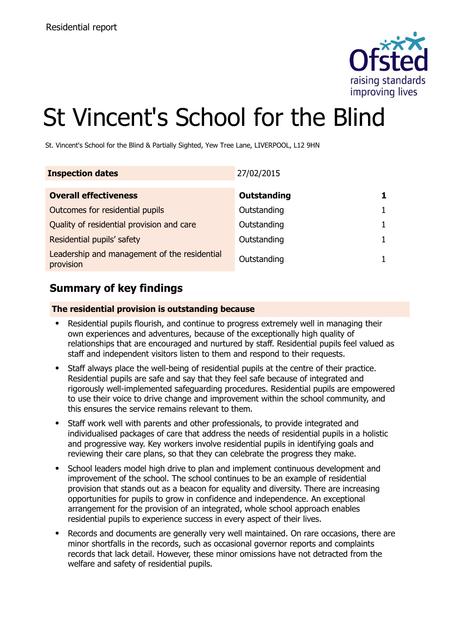

# St Vincent's School for the Blind

St. Vincent's School for the Blind & Partially Sighted, Yew Tree Lane, LIVERPOOL, L12 9HN

| <b>Inspection dates</b>                                   | 27/02/2015  |  |
|-----------------------------------------------------------|-------------|--|
| <b>Overall effectiveness</b>                              | Outstanding |  |
| Outcomes for residential pupils                           | Outstanding |  |
| Quality of residential provision and care                 | Outstanding |  |
| Residential pupils' safety                                | Outstanding |  |
| Leadership and management of the residential<br>provision | Outstanding |  |

# **Summary of key findings**

### **The residential provision is outstanding because**

- Residential pupils flourish, and continue to progress extremely well in managing their own experiences and adventures, because of the exceptionally high quality of relationships that are encouraged and nurtured by staff. Residential pupils feel valued as staff and independent visitors listen to them and respond to their requests.
- Staff always place the well-being of residential pupils at the centre of their practice. Residential pupils are safe and say that they feel safe because of integrated and rigorously well-implemented safeguarding procedures. Residential pupils are empowered to use their voice to drive change and improvement within the school community, and this ensures the service remains relevant to them.
- Staff work well with parents and other professionals, to provide integrated and individualised packages of care that address the needs of residential pupils in a holistic and progressive way. Key workers involve residential pupils in identifying goals and reviewing their care plans, so that they can celebrate the progress they make.
- School leaders model high drive to plan and implement continuous development and improvement of the school. The school continues to be an example of residential provision that stands out as a beacon for equality and diversity. There are increasing opportunities for pupils to grow in confidence and independence. An exceptional arrangement for the provision of an integrated, whole school approach enables residential pupils to experience success in every aspect of their lives.
- Records and documents are generally very well maintained. On rare occasions, there are minor shortfalls in the records, such as occasional governor reports and complaints records that lack detail. However, these minor omissions have not detracted from the welfare and safety of residential pupils.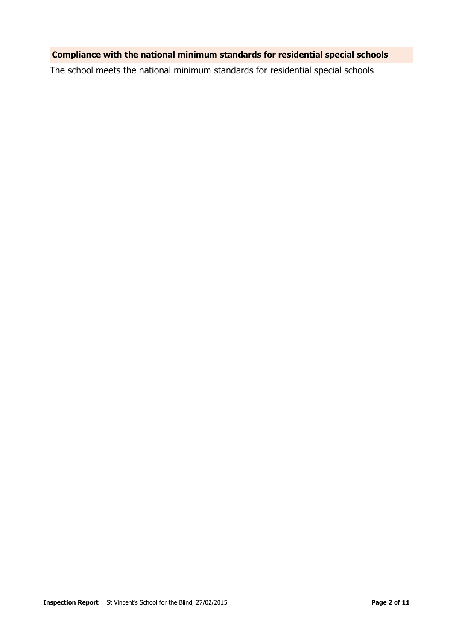### **Compliance with the national minimum standards for residential special schools**

The school meets the national minimum standards for residential special schools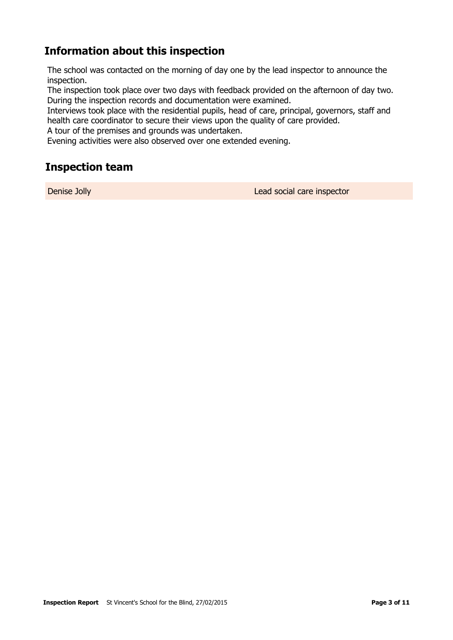# **Information about this inspection**

The school was contacted on the morning of day one by the lead inspector to announce the inspection.

The inspection took place over two days with feedback provided on the afternoon of day two. During the inspection records and documentation were examined.

Interviews took place with the residential pupils, head of care, principal, governors, staff and health care coordinator to secure their views upon the quality of care provided.

A tour of the premises and grounds was undertaken.

Evening activities were also observed over one extended evening.

# **Inspection team**

Denise Jolly Lead social care inspector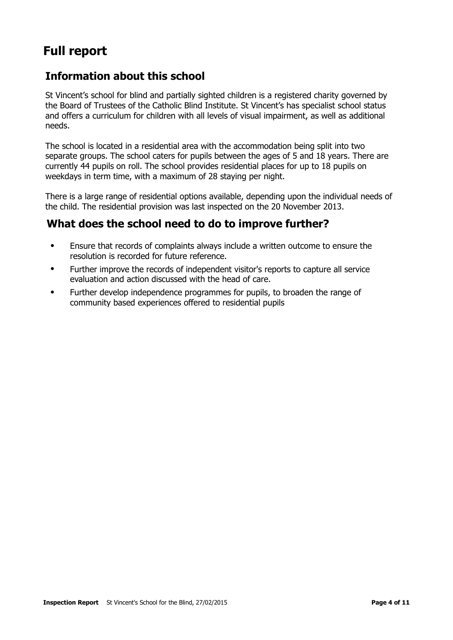# **Full report**

# **Information about this school**

St Vincent's school for blind and partially sighted children is a registered charity governed by the Board of Trustees of the Catholic Blind Institute. St Vincent's has specialist school status and offers a curriculum for children with all levels of visual impairment, as well as additional needs.

The school is located in a residential area with the accommodation being split into two separate groups. The school caters for pupils between the ages of 5 and 18 years. There are currently 44 pupils on roll. The school provides residential places for up to 18 pupils on weekdays in term time, with a maximum of 28 staying per night.

There is a large range of residential options available, depending upon the individual needs of the child. The residential provision was last inspected on the 20 November 2013.

# **What does the school need to do to improve further?**

- Ensure that records of complaints always include a written outcome to ensure the resolution is recorded for future reference.
- Further improve the records of independent visitor's reports to capture all service evaluation and action discussed with the head of care.
- Further develop independence programmes for pupils, to broaden the range of community based experiences offered to residential pupils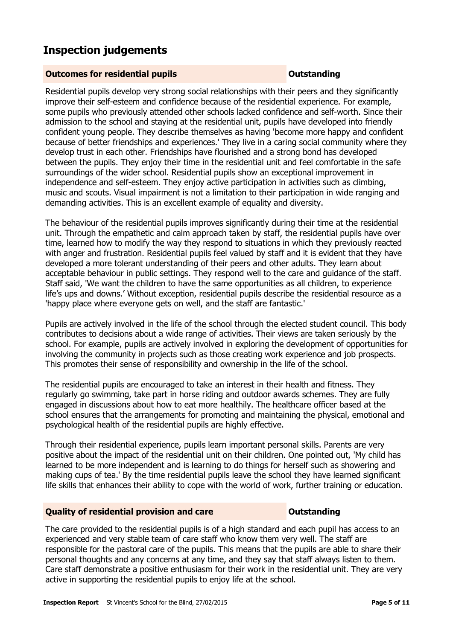# **Inspection judgements**

#### **Outcomes for residential pupils Outstanding**

Residential pupils develop very strong social relationships with their peers and they significantly improve their self-esteem and confidence because of the residential experience. For example, some pupils who previously attended other schools lacked confidence and self-worth. Since their admission to the school and staying at the residential unit, pupils have developed into friendly confident young people. They describe themselves as having 'become more happy and confident because of better friendships and experiences.' They live in a caring social community where they develop trust in each other. Friendships have flourished and a strong bond has developed between the pupils. They enjoy their time in the residential unit and feel comfortable in the safe surroundings of the wider school. Residential pupils show an exceptional improvement in independence and self-esteem. They enjoy active participation in activities such as climbing, music and scouts. Visual impairment is not a limitation to their participation in wide ranging and demanding activities. This is an excellent example of equality and diversity.

The behaviour of the residential pupils improves significantly during their time at the residential unit. Through the empathetic and calm approach taken by staff, the residential pupils have over time, learned how to modify the way they respond to situations in which they previously reacted with anger and frustration. Residential pupils feel valued by staff and it is evident that they have developed a more tolerant understanding of their peers and other adults. They learn about acceptable behaviour in public settings. They respond well to the care and guidance of the staff. Staff said, 'We want the children to have the same opportunities as all children, to experience life's ups and downs.' Without exception, residential pupils describe the residential resource as a 'happy place where everyone gets on well, and the staff are fantastic.'

Pupils are actively involved in the life of the school through the elected student council. This body contributes to decisions about a wide range of activities. Their views are taken seriously by the school. For example, pupils are actively involved in exploring the development of opportunities for involving the community in projects such as those creating work experience and job prospects. This promotes their sense of responsibility and ownership in the life of the school.

The residential pupils are encouraged to take an interest in their health and fitness. They regularly go swimming, take part in horse riding and outdoor awards schemes. They are fully engaged in discussions about how to eat more healthily. The healthcare officer based at the school ensures that the arrangements for promoting and maintaining the physical, emotional and psychological health of the residential pupils are highly effective.

Through their residential experience, pupils learn important personal skills. Parents are very positive about the impact of the residential unit on their children. One pointed out, 'My child has learned to be more independent and is learning to do things for herself such as showering and making cups of tea.' By the time residential pupils leave the school they have learned significant life skills that enhances their ability to cope with the world of work, further training or education.

### **Quality of residential provision and care Outstanding**

The care provided to the residential pupils is of a high standard and each pupil has access to an experienced and very stable team of care staff who know them very well. The staff are responsible for the pastoral care of the pupils. This means that the pupils are able to share their personal thoughts and any concerns at any time, and they say that staff always listen to them. Care staff demonstrate a positive enthusiasm for their work in the residential unit. They are very active in supporting the residential pupils to enjoy life at the school.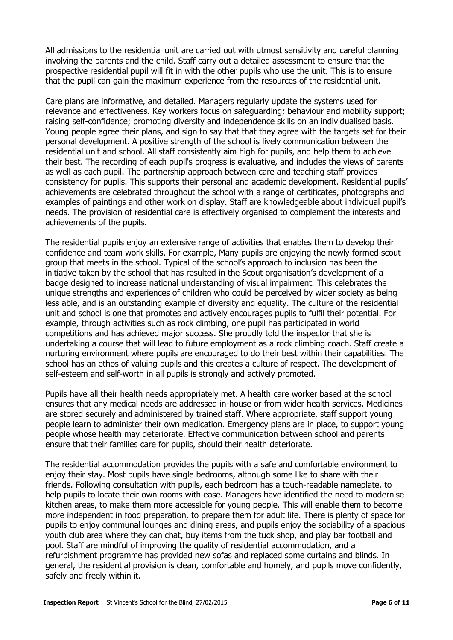All admissions to the residential unit are carried out with utmost sensitivity and careful planning involving the parents and the child. Staff carry out a detailed assessment to ensure that the prospective residential pupil will fit in with the other pupils who use the unit. This is to ensure that the pupil can gain the maximum experience from the resources of the residential unit.

Care plans are informative, and detailed. Managers regularly update the systems used for relevance and effectiveness. Key workers focus on safeguarding; behaviour and mobility support; raising self-confidence; promoting diversity and independence skills on an individualised basis. Young people agree their plans, and sign to say that that they agree with the targets set for their personal development. A positive strength of the school is lively communication between the residential unit and school. All staff consistently aim high for pupils, and help them to achieve their best. The recording of each pupil's progress is evaluative, and includes the views of parents as well as each pupil. The partnership approach between care and teaching staff provides consistency for pupils. This supports their personal and academic development. Residential pupils' achievements are celebrated throughout the school with a range of certificates, photographs and examples of paintings and other work on display. Staff are knowledgeable about individual pupil's needs. The provision of residential care is effectively organised to complement the interests and achievements of the pupils.

The residential pupils enjoy an extensive range of activities that enables them to develop their confidence and team work skills. For example, Many pupils are enjoying the newly formed scout group that meets in the school. Typical of the school's approach to inclusion has been the initiative taken by the school that has resulted in the Scout organisation's development of a badge designed to increase national understanding of visual impairment. This celebrates the unique strengths and experiences of children who could be perceived by wider society as being less able, and is an outstanding example of diversity and equality. The culture of the residential unit and school is one that promotes and actively encourages pupils to fulfil their potential. For example, through activities such as rock climbing, one pupil has participated in world competitions and has achieved major success. She proudly told the inspector that she is undertaking a course that will lead to future employment as a rock climbing coach. Staff create a nurturing environment where pupils are encouraged to do their best within their capabilities. The school has an ethos of valuing pupils and this creates a culture of respect. The development of self-esteem and self-worth in all pupils is strongly and actively promoted.

Pupils have all their health needs appropriately met. A health care worker based at the school ensures that any medical needs are addressed in-house or from wider health services. Medicines are stored securely and administered by trained staff. Where appropriate, staff support young people learn to administer their own medication. Emergency plans are in place, to support young people whose health may deteriorate. Effective communication between school and parents ensure that their families care for pupils, should their health deteriorate.

The residential accommodation provides the pupils with a safe and comfortable environment to enjoy their stay. Most pupils have single bedrooms, although some like to share with their friends. Following consultation with pupils, each bedroom has a touch-readable nameplate, to help pupils to locate their own rooms with ease. Managers have identified the need to modernise kitchen areas, to make them more accessible for young people. This will enable them to become more independent in food preparation, to prepare them for adult life. There is plenty of space for pupils to enjoy communal lounges and dining areas, and pupils enjoy the sociability of a spacious youth club area where they can chat, buy items from the tuck shop, and play bar football and pool. Staff are mindful of improving the quality of residential accommodation, and a refurbishment programme has provided new sofas and replaced some curtains and blinds. In general, the residential provision is clean, comfortable and homely, and pupils move confidently, safely and freely within it.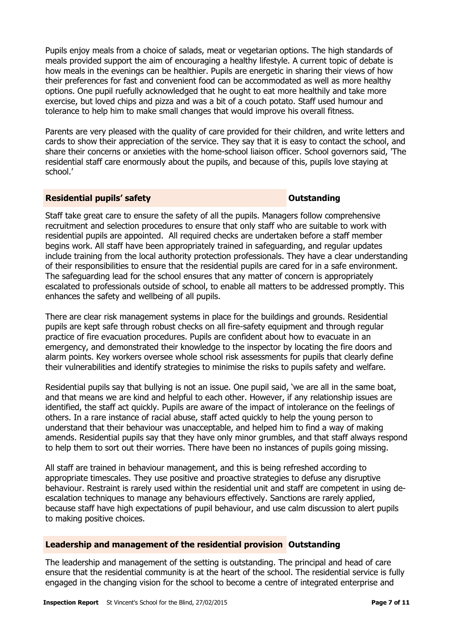Pupils enjoy meals from a choice of salads, meat or vegetarian options. The high standards of meals provided support the aim of encouraging a healthy lifestyle. A current topic of debate is how meals in the evenings can be healthier. Pupils are energetic in sharing their views of how their preferences for fast and convenient food can be accommodated as well as more healthy options. One pupil ruefully acknowledged that he ought to eat more healthily and take more exercise, but loved chips and pizza and was a bit of a couch potato. Staff used humour and tolerance to help him to make small changes that would improve his overall fitness.

Parents are very pleased with the quality of care provided for their children, and write letters and cards to show their appreciation of the service. They say that it is easy to contact the school, and share their concerns or anxieties with the home-school liaison officer. School governors said, 'The residential staff care enormously about the pupils, and because of this, pupils love staying at school.'

### **Residential pupils' safety Outstanding**

Staff take great care to ensure the safety of all the pupils. Managers follow comprehensive recruitment and selection procedures to ensure that only staff who are suitable to work with residential pupils are appointed. All required checks are undertaken before a staff member begins work. All staff have been appropriately trained in safeguarding, and regular updates include training from the local authority protection professionals. They have a clear understanding of their responsibilities to ensure that the residential pupils are cared for in a safe environment. The safeguarding lead for the school ensures that any matter of concern is appropriately escalated to professionals outside of school, to enable all matters to be addressed promptly. This enhances the safety and wellbeing of all pupils.

There are clear risk management systems in place for the buildings and grounds. Residential pupils are kept safe through robust checks on all fire-safety equipment and through regular practice of fire evacuation procedures. Pupils are confident about how to evacuate in an emergency, and demonstrated their knowledge to the inspector by locating the fire doors and alarm points. Key workers oversee whole school risk assessments for pupils that clearly define their vulnerabilities and identify strategies to minimise the risks to pupils safety and welfare.

Residential pupils say that bullying is not an issue. One pupil said, 'we are all in the same boat, and that means we are kind and helpful to each other. However, if any relationship issues are identified, the staff act quickly. Pupils are aware of the impact of intolerance on the feelings of others. In a rare instance of racial abuse, staff acted quickly to help the young person to understand that their behaviour was unacceptable, and helped him to find a way of making amends. Residential pupils say that they have only minor grumbles, and that staff always respond to help them to sort out their worries. There have been no instances of pupils going missing.

All staff are trained in behaviour management, and this is being refreshed according to appropriate timescales. They use positive and proactive strategies to defuse any disruptive behaviour. Restraint is rarely used within the residential unit and staff are competent in using deescalation techniques to manage any behaviours effectively. Sanctions are rarely applied, because staff have high expectations of pupil behaviour, and use calm discussion to alert pupils to making positive choices.

### **Leadership and management of the residential provision Outstanding**

The leadership and management of the setting is outstanding. The principal and head of care ensure that the residential community is at the heart of the school. The residential service is fully engaged in the changing vision for the school to become a centre of integrated enterprise and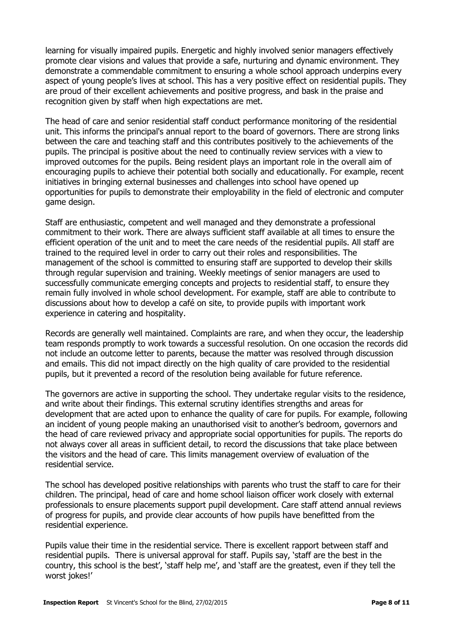learning for visually impaired pupils. Energetic and highly involved senior managers effectively promote clear visions and values that provide a safe, nurturing and dynamic environment. They demonstrate a commendable commitment to ensuring a whole school approach underpins every aspect of young people's lives at school. This has a very positive effect on residential pupils. They are proud of their excellent achievements and positive progress, and bask in the praise and recognition given by staff when high expectations are met.

The head of care and senior residential staff conduct performance monitoring of the residential unit. This informs the principal's annual report to the board of governors. There are strong links between the care and teaching staff and this contributes positively to the achievements of the pupils. The principal is positive about the need to continually review services with a view to improved outcomes for the pupils. Being resident plays an important role in the overall aim of encouraging pupils to achieve their potential both socially and educationally. For example, recent initiatives in bringing external businesses and challenges into school have opened up opportunities for pupils to demonstrate their employability in the field of electronic and computer game design.

Staff are enthusiastic, competent and well managed and they demonstrate a professional commitment to their work. There are always sufficient staff available at all times to ensure the efficient operation of the unit and to meet the care needs of the residential pupils. All staff are trained to the required level in order to carry out their roles and responsibilities. The management of the school is committed to ensuring staff are supported to develop their skills through regular supervision and training. Weekly meetings of senior managers are used to successfully communicate emerging concepts and projects to residential staff, to ensure they remain fully involved in whole school development. For example, staff are able to contribute to discussions about how to develop a café on site, to provide pupils with important work experience in catering and hospitality.

Records are generally well maintained. Complaints are rare, and when they occur, the leadership team responds promptly to work towards a successful resolution. On one occasion the records did not include an outcome letter to parents, because the matter was resolved through discussion and emails. This did not impact directly on the high quality of care provided to the residential pupils, but it prevented a record of the resolution being available for future reference.

The governors are active in supporting the school. They undertake regular visits to the residence, and write about their findings. This external scrutiny identifies strengths and areas for development that are acted upon to enhance the quality of care for pupils. For example, following an incident of young people making an unauthorised visit to another's bedroom, governors and the head of care reviewed privacy and appropriate social opportunities for pupils. The reports do not always cover all areas in sufficient detail, to record the discussions that take place between the visitors and the head of care. This limits management overview of evaluation of the residential service.

The school has developed positive relationships with parents who trust the staff to care for their children. The principal, head of care and home school liaison officer work closely with external professionals to ensure placements support pupil development. Care staff attend annual reviews of progress for pupils, and provide clear accounts of how pupils have benefitted from the residential experience.

Pupils value their time in the residential service. There is excellent rapport between staff and residential pupils. There is universal approval for staff. Pupils say, 'staff are the best in the country, this school is the best', 'staff help me', and 'staff are the greatest, even if they tell the worst jokes!'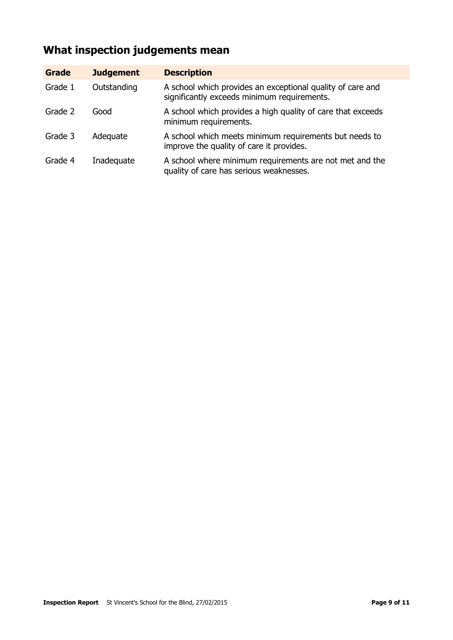# **What inspection judgements mean**

| <b>Grade</b> | <b>Judgement</b> | <b>Description</b>                                                                                        |
|--------------|------------------|-----------------------------------------------------------------------------------------------------------|
| Grade 1      | Outstanding      | A school which provides an exceptional quality of care and<br>significantly exceeds minimum requirements. |
| Grade 2      | Good             | A school which provides a high quality of care that exceeds<br>minimum requirements.                      |
| Grade 3      | Adequate         | A school which meets minimum requirements but needs to<br>improve the quality of care it provides.        |
| Grade 4      | Inadequate       | A school where minimum requirements are not met and the<br>quality of care has serious weaknesses.        |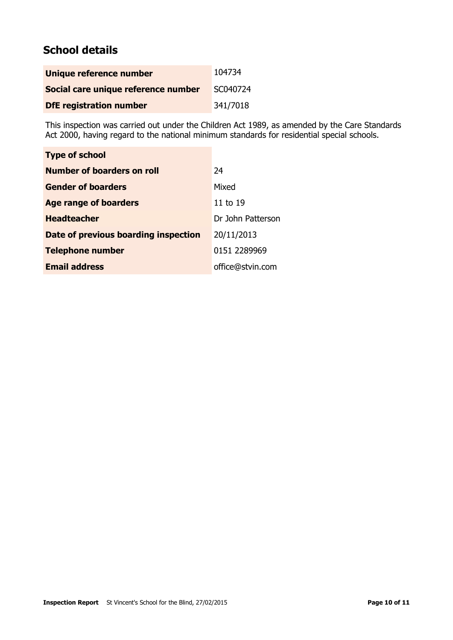# **School details**

| Unique reference number             | 104734   |
|-------------------------------------|----------|
| Social care unique reference number | SC040724 |
| <b>DfE</b> registration number      | 341/7018 |

This inspection was carried out under the Children Act 1989, as amended by the Care Standards Act 2000, having regard to the national minimum standards for residential special schools.

| <b>Type of school</b>                |                   |
|--------------------------------------|-------------------|
| Number of boarders on roll           | 24                |
| <b>Gender of boarders</b>            | Mixed             |
| <b>Age range of boarders</b>         | 11 to 19          |
| <b>Headteacher</b>                   | Dr John Patterson |
| Date of previous boarding inspection | 20/11/2013        |
| <b>Telephone number</b>              | 0151 2289969      |
| <b>Email address</b>                 | office@stvin.com  |